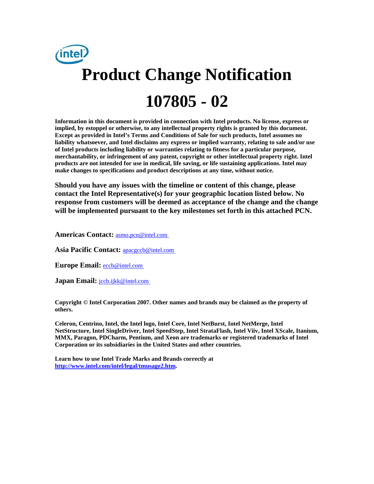

**Information in this document is provided in connection with Intel products. No license, express or implied, by estoppel or otherwise, to any intellectual property rights is granted by this document. Except as provided in Intel's Terms and Conditions of Sale for such products, Intel assumes no liability whatsoever, and Intel disclaims any express or implied warranty, relating to sale and/or use of Intel products including liability or warranties relating to fitness for a particular purpose, merchantability, or infringement of any patent, copyright or other intellectual property right. Intel products are not intended for use in medical, life saving, or life sustaining applications. Intel may make changes to specifications and product descriptions at any time, without notice.** 

**Should you have any issues with the timeline or content of this change, please contact the Intel Representative(s) for your geographic location listed below. No response from customers will be deemed as acceptance of the change and the change will be implemented pursuant to the key milestones set forth in this attached PCN.** 

**Americas Contact:** [asmo.pcn@intel.com](mailto:asmo.pcn@intel.com) 

**Asia Pacific Contact:** [apacgccb@intel.com](mailto:apacgccb@intel.com) 

Europe Email: **eccb@intel.com** 

**Japan Email:** *jccb.ijkk@intel.com* 

**Copyright © Intel Corporation 2007. Other names and brands may be claimed as the property of others.**

**Celeron, Centrino, Intel, the Intel logo, Intel Core, Intel NetBurst, Intel NetMerge, Intel NetStructure, Intel SingleDriver, Intel SpeedStep, Intel StrataFlash, Intel Viiv, Intel XScale, Itanium, MMX, Paragon, PDCharm, Pentium, and Xeon are trademarks or registered trademarks of Intel Corporation or its subsidiaries in the United States and other countries.** 

**Learn how to use Intel Trade Marks and Brands correctly at [http://www.intel.com/intel/legal/tmusage2.htm.](http://www.intel.com/intel/legal/tmusage2.htm)**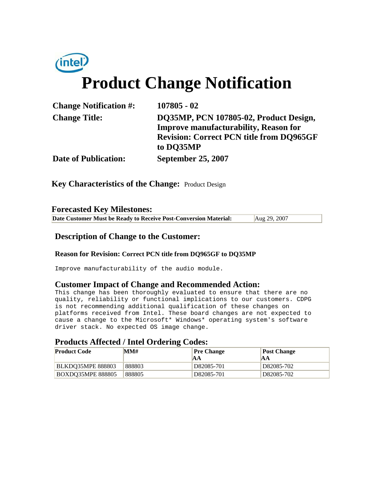# (intel) **Product Change Notification**

| <b>Change Notification #:</b> | $107805 - 02$                                   |
|-------------------------------|-------------------------------------------------|
| <b>Change Title:</b>          | DQ35MP, PCN 107805-02, Product Design,          |
|                               | <b>Improve manufacturability, Reason for</b>    |
|                               | <b>Revision: Correct PCN title from DQ965GF</b> |
|                               | to DO35MP                                       |
| <b>Date of Publication:</b>   | <b>September 25, 2007</b>                       |

**Key Characteristics of the Change:** Product Design

### **Forecasted Key Milestones:**

**Date Customer Must be Ready to Receive Post-Conversion Material:** Aug 29, 2007

# **Description of Change to the Customer:**

#### **Reason for Revision: Correct PCN title from DQ965GF to DQ35MP**

Improve manufacturability of the audio module.

# **Customer Impact of Change and Recommended Action:**

This change has been thoroughly evaluated to ensure that there are no quality, reliability or functional implications to our customers. CDPG is not recommending additional qualification of these changes on platforms received from Intel. These board changes are not expected to cause a change to the Microsoft\* Windows\* operating system's software driver stack. No expected OS image change.

# **Products Affected / Intel Ordering Codes:**

| <b>Product Code</b>      | MM#    | <b>Pre Change</b><br>ΙAΑ | <b>Post Change</b><br><b>JAA</b> |
|--------------------------|--------|--------------------------|----------------------------------|
| <b>BLKDO35MPE 888803</b> | 888803 | D82085-701               | D82085-702                       |
| <b>BOXDO35MPE 888805</b> | 888805 | D82085-701               | D82085-702                       |